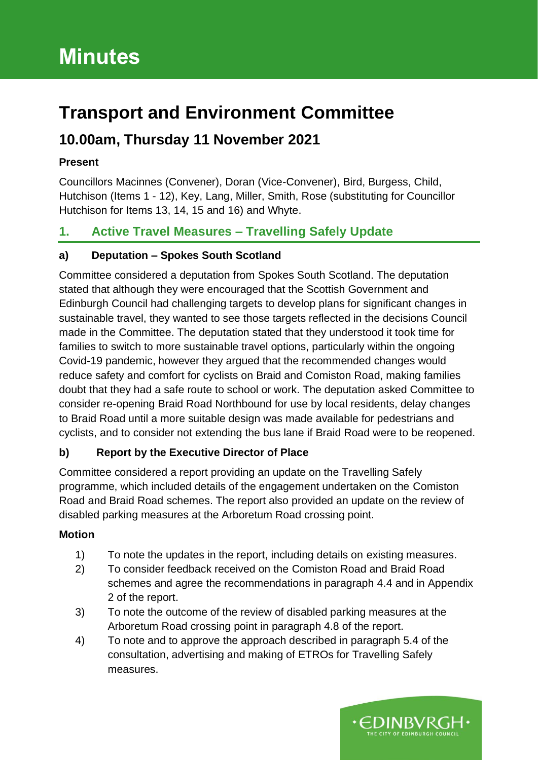# **Transport and Environment Committee**

# **10.00am, Thursday 11 November 2021**

### **Present**

Councillors Macinnes (Convener), Doran (Vice-Convener), Bird, Burgess, Child, Hutchison (Items 1 - 12), Key, Lang, Miller, Smith, Rose (substituting for Councillor Hutchison for Items 13, 14, 15 and 16) and Whyte.

# **1. Active Travel Measures – Travelling Safely Update**

## **a) Deputation – Spokes South Scotland**

Committee considered a deputation from Spokes South Scotland. The deputation stated that although they were encouraged that the Scottish Government and Edinburgh Council had challenging targets to develop plans for significant changes in sustainable travel, they wanted to see those targets reflected in the decisions Council made in the Committee. The deputation stated that they understood it took time for families to switch to more sustainable travel options, particularly within the ongoing Covid-19 pandemic, however they argued that the recommended changes would reduce safety and comfort for cyclists on Braid and Comiston Road, making families doubt that they had a safe route to school or work. The deputation asked Committee to consider re-opening Braid Road Northbound for use by local residents, delay changes to Braid Road until a more suitable design was made available for pedestrians and cyclists, and to consider not extending the bus lane if Braid Road were to be reopened.

## **b) Report by the Executive Director of Place**

Committee considered a report providing an update on the Travelling Safely programme, which included details of the engagement undertaken on the Comiston Road and Braid Road schemes. The report also provided an update on the review of disabled parking measures at the Arboretum Road crossing point.

#### **Motion**

- 1) To note the updates in the report, including details on existing measures.
- 2) To consider feedback received on the Comiston Road and Braid Road schemes and agree the recommendations in paragraph 4.4 and in Appendix 2 of the report.
- 3) To note the outcome of the review of disabled parking measures at the Arboretum Road crossing point in paragraph 4.8 of the report.
- 4) To note and to approve the approach described in paragraph 5.4 of the consultation, advertising and making of ETROs for Travelling Safely measures.

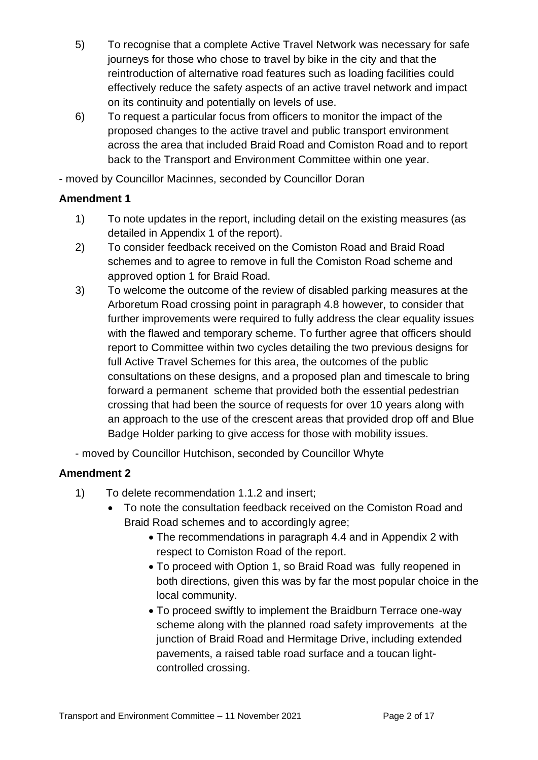- 5) To recognise that a complete Active Travel Network was necessary for safe journeys for those who chose to travel by bike in the city and that the reintroduction of alternative road features such as loading facilities could effectively reduce the safety aspects of an active travel network and impact on its continuity and potentially on levels of use.
- 6) To request a particular focus from officers to monitor the impact of the proposed changes to the active travel and public transport environment across the area that included Braid Road and Comiston Road and to report back to the Transport and Environment Committee within one year.

- moved by Councillor Macinnes, seconded by Councillor Doran

#### **Amendment 1**

- 1) To note updates in the report, including detail on the existing measures (as detailed in Appendix 1 of the report).
- 2) To consider feedback received on the Comiston Road and Braid Road schemes and to agree to remove in full the Comiston Road scheme and approved option 1 for Braid Road.
- 3) To welcome the outcome of the review of disabled parking measures at the Arboretum Road crossing point in paragraph 4.8 however, to consider that further improvements were required to fully address the clear equality issues with the flawed and temporary scheme. To further agree that officers should report to Committee within two cycles detailing the two previous designs for full Active Travel Schemes for this area, the outcomes of the public consultations on these designs, and a proposed plan and timescale to bring forward a permanent scheme that provided both the essential pedestrian crossing that had been the source of requests for over 10 years along with an approach to the use of the crescent areas that provided drop off and Blue Badge Holder parking to give access for those with mobility issues.

- moved by Councillor Hutchison, seconded by Councillor Whyte

## **Amendment 2**

- 1) To delete recommendation 1.1.2 and insert;
	- To note the consultation feedback received on the Comiston Road and Braid Road schemes and to accordingly agree;
		- The recommendations in paragraph 4.4 and in Appendix 2 with respect to Comiston Road of the report.
		- To proceed with Option 1, so Braid Road was fully reopened in both directions, given this was by far the most popular choice in the local community.
		- To proceed swiftly to implement the Braidburn Terrace one-way scheme along with the planned road safety improvements at the junction of Braid Road and Hermitage Drive, including extended pavements, a raised table road surface and a toucan lightcontrolled crossing.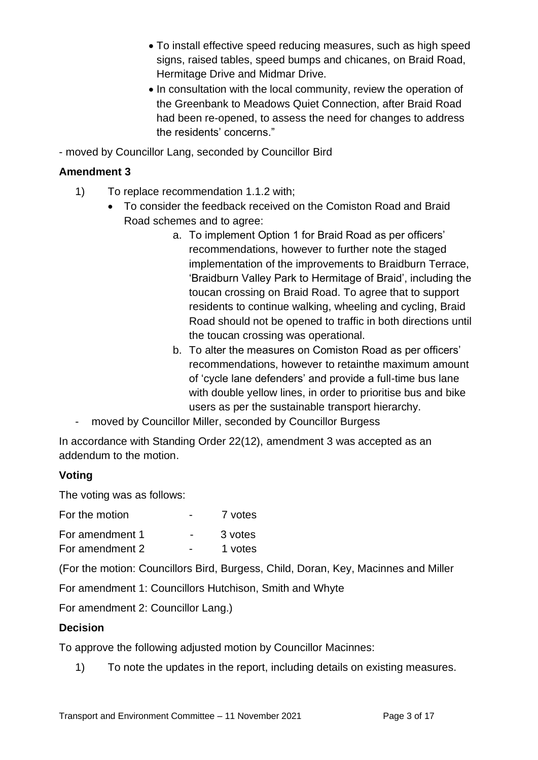- To install effective speed reducing measures, such as high speed signs, raised tables, speed bumps and chicanes, on Braid Road, Hermitage Drive and Midmar Drive.
- In consultation with the local community, review the operation of the Greenbank to Meadows Quiet Connection, after Braid Road had been re-opened, to assess the need for changes to address the residents' concerns."

- moved by Councillor Lang, seconded by Councillor Bird

#### **Amendment 3**

- 1) To replace recommendation 1.1.2 with;
	- To consider the feedback received on the Comiston Road and Braid Road schemes and to agree:
		- a. To implement Option 1 for Braid Road as per officers' recommendations, however to further note the staged implementation of the improvements to Braidburn Terrace, 'Braidburn Valley Park to Hermitage of Braid', including the toucan crossing on Braid Road. To agree that to support residents to continue walking, wheeling and cycling, Braid Road should not be opened to traffic in both directions until the toucan crossing was operational.
		- b. To alter the measures on Comiston Road as per officers' recommendations, however to retainthe maximum amount of 'cycle lane defenders' and provide a full-time bus lane with double yellow lines, in order to prioritise bus and bike users as per the sustainable transport hierarchy.
- moved by Councillor Miller, seconded by Councillor Burgess

In accordance with Standing Order 22(12), amendment 3 was accepted as an addendum to the motion.

#### **Voting**

The voting was as follows:

| For the motion  | 7 votes |
|-----------------|---------|
| For amendment 1 | 3 votes |

For amendment 2 - 1 votes

(For the motion: Councillors Bird, Burgess, Child, Doran, Key, Macinnes and Miller

For amendment 1: Councillors Hutchison, Smith and Whyte

For amendment 2: Councillor Lang.)

#### **Decision**

To approve the following adjusted motion by Councillor Macinnes:

1) To note the updates in the report, including details on existing measures.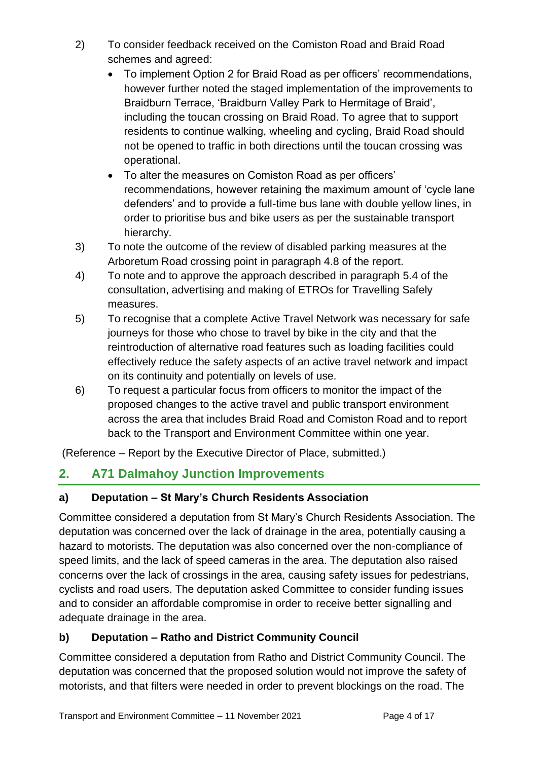- 2) To consider feedback received on the Comiston Road and Braid Road schemes and agreed:
	- To implement Option 2 for Braid Road as per officers' recommendations, however further noted the staged implementation of the improvements to Braidburn Terrace, 'Braidburn Valley Park to Hermitage of Braid', including the toucan crossing on Braid Road. To agree that to support residents to continue walking, wheeling and cycling, Braid Road should not be opened to traffic in both directions until the toucan crossing was operational.
	- To alter the measures on Comiston Road as per officers' recommendations, however retaining the maximum amount of 'cycle lane defenders' and to provide a full-time bus lane with double yellow lines, in order to prioritise bus and bike users as per the sustainable transport hierarchy.
- 3) To note the outcome of the review of disabled parking measures at the Arboretum Road crossing point in paragraph 4.8 of the report.
- 4) To note and to approve the approach described in paragraph 5.4 of the consultation, advertising and making of ETROs for Travelling Safely measures.
- 5) To recognise that a complete Active Travel Network was necessary for safe journeys for those who chose to travel by bike in the city and that the reintroduction of alternative road features such as loading facilities could effectively reduce the safety aspects of an active travel network and impact on its continuity and potentially on levels of use.
- 6) To request a particular focus from officers to monitor the impact of the proposed changes to the active travel and public transport environment across the area that includes Braid Road and Comiston Road and to report back to the Transport and Environment Committee within one year.

(Reference – Report by the Executive Director of Place, submitted.)

# **2. A71 Dalmahoy Junction Improvements**

# **a) Deputation – St Mary's Church Residents Association**

Committee considered a deputation from St Mary's Church Residents Association. The deputation was concerned over the lack of drainage in the area, potentially causing a hazard to motorists. The deputation was also concerned over the non-compliance of speed limits, and the lack of speed cameras in the area. The deputation also raised concerns over the lack of crossings in the area, causing safety issues for pedestrians, cyclists and road users. The deputation asked Committee to consider funding issues and to consider an affordable compromise in order to receive better signalling and adequate drainage in the area.

# **b) Deputation – Ratho and District Community Council**

Committee considered a deputation from Ratho and District Community Council. The deputation was concerned that the proposed solution would not improve the safety of motorists, and that filters were needed in order to prevent blockings on the road. The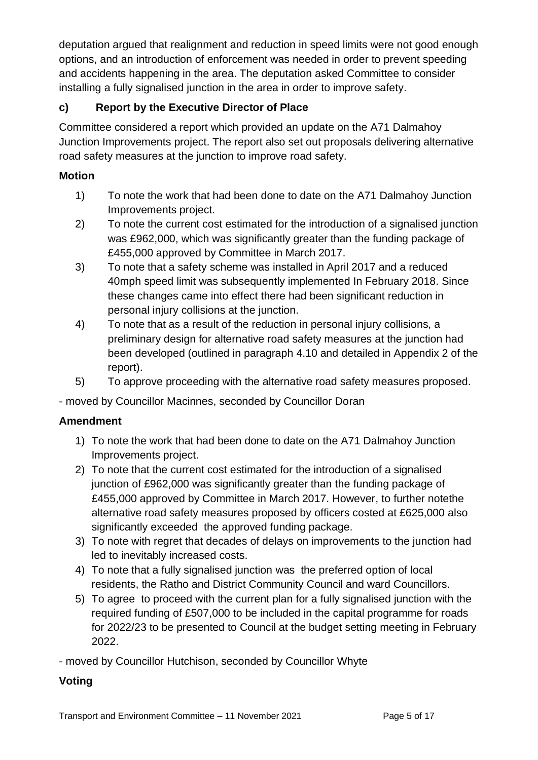deputation argued that realignment and reduction in speed limits were not good enough options, and an introduction of enforcement was needed in order to prevent speeding and accidents happening in the area. The deputation asked Committee to consider installing a fully signalised junction in the area in order to improve safety.

# **c) Report by the Executive Director of Place**

Committee considered a report which provided an update on the A71 Dalmahoy Junction Improvements project. The report also set out proposals delivering alternative road safety measures at the junction to improve road safety.

# **Motion**

- 1) To note the work that had been done to date on the A71 Dalmahoy Junction Improvements project.
- 2) To note the current cost estimated for the introduction of a signalised junction was £962,000, which was significantly greater than the funding package of £455,000 approved by Committee in March 2017.
- 3) To note that a safety scheme was installed in April 2017 and a reduced 40mph speed limit was subsequently implemented In February 2018. Since these changes came into effect there had been significant reduction in personal injury collisions at the junction.
- 4) To note that as a result of the reduction in personal injury collisions, a preliminary design for alternative road safety measures at the junction had been developed (outlined in paragraph 4.10 and detailed in Appendix 2 of the report).
- 5) To approve proceeding with the alternative road safety measures proposed.

- moved by Councillor Macinnes, seconded by Councillor Doran

# **Amendment**

- 1) To note the work that had been done to date on the A71 Dalmahoy Junction Improvements project.
- 2) To note that the current cost estimated for the introduction of a signalised junction of £962,000 was significantly greater than the funding package of £455,000 approved by Committee in March 2017. However, to further notethe alternative road safety measures proposed by officers costed at £625,000 also significantly exceeded the approved funding package.
- 3) To note with regret that decades of delays on improvements to the junction had led to inevitably increased costs.
- 4) To note that a fully signalised junction was the preferred option of local residents, the Ratho and District Community Council and ward Councillors.
- 5) To agree to proceed with the current plan for a fully signalised junction with the required funding of £507,000 to be included in the capital programme for roads for 2022/23 to be presented to Council at the budget setting meeting in February 2022.

- moved by Councillor Hutchison, seconded by Councillor Whyte

# **Voting**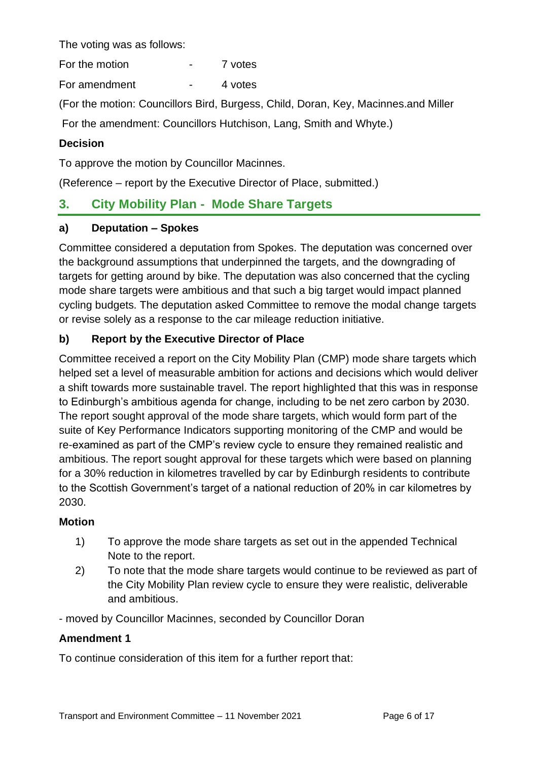The voting was as follows:

For the motion **For the motion For the motion** 

For amendment - 4 votes

(For the motion: Councillors Bird, Burgess, Child, Doran, Key, Macinnes.and Miller

For the amendment: Councillors Hutchison, Lang, Smith and Whyte.)

#### **Decision**

To approve the motion by Councillor Macinnes.

(Reference – report by the Executive Director of Place, submitted.)

# **3. City Mobility Plan - Mode Share Targets**

#### **a) Deputation – Spokes**

Committee considered a deputation from Spokes. The deputation was concerned over the background assumptions that underpinned the targets, and the downgrading of targets for getting around by bike. The deputation was also concerned that the cycling mode share targets were ambitious and that such a big target would impact planned cycling budgets. The deputation asked Committee to remove the modal change targets or revise solely as a response to the car mileage reduction initiative.

# **b) Report by the Executive Director of Place**

Committee received a report on the City Mobility Plan (CMP) mode share targets which helped set a level of measurable ambition for actions and decisions which would deliver a shift towards more sustainable travel. The report highlighted that this was in response to Edinburgh's ambitious agenda for change, including to be net zero carbon by 2030. The report sought approval of the mode share targets, which would form part of the suite of Key Performance Indicators supporting monitoring of the CMP and would be re-examined as part of the CMP's review cycle to ensure they remained realistic and ambitious. The report sought approval for these targets which were based on planning for a 30% reduction in kilometres travelled by car by Edinburgh residents to contribute to the Scottish Government's target of a national reduction of 20% in car kilometres by 2030.

#### **Motion**

- 1) To approve the mode share targets as set out in the appended Technical Note to the report.
- 2) To note that the mode share targets would continue to be reviewed as part of the City Mobility Plan review cycle to ensure they were realistic, deliverable and ambitious.

- moved by Councillor Macinnes, seconded by Councillor Doran

#### **Amendment 1**

To continue consideration of this item for a further report that: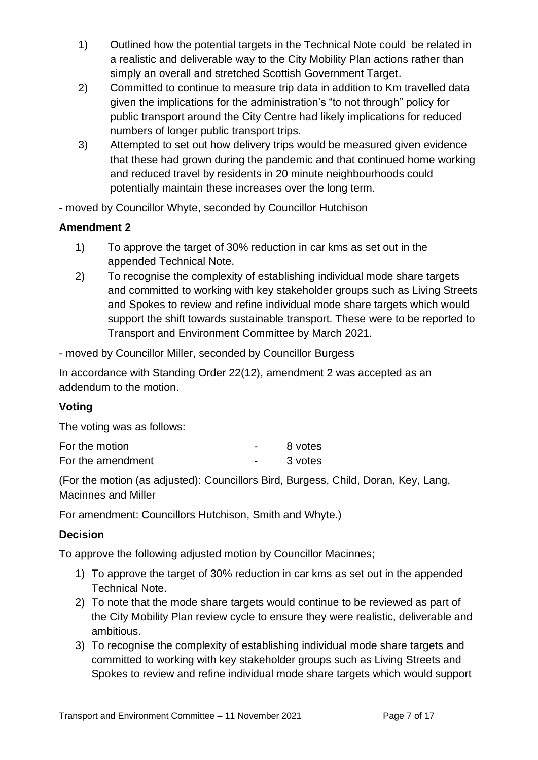- 1) Outlined how the potential targets in the Technical Note could be related in a realistic and deliverable way to the City Mobility Plan actions rather than simply an overall and stretched Scottish Government Target.
- 2) Committed to continue to measure trip data in addition to Km travelled data given the implications for the administration's "to not through" policy for public transport around the City Centre had likely implications for reduced numbers of longer public transport trips.
- 3) Attempted to set out how delivery trips would be measured given evidence that these had grown during the pandemic and that continued home working and reduced travel by residents in 20 minute neighbourhoods could potentially maintain these increases over the long term.

- moved by Councillor Whyte, seconded by Councillor Hutchison

#### **Amendment 2**

- 1) To approve the target of 30% reduction in car kms as set out in the appended Technical Note.
- 2) To recognise the complexity of establishing individual mode share targets and committed to working with key stakeholder groups such as Living Streets and Spokes to review and refine individual mode share targets which would support the shift towards sustainable transport. These were to be reported to Transport and Environment Committee by March 2021.

- moved by Councillor Miller, seconded by Councillor Burgess

In accordance with Standing Order 22(12), amendment 2 was accepted as an addendum to the motion.

## **Voting**

The voting was as follows:

| For the motion    |                          | 8 votes |
|-------------------|--------------------------|---------|
| For the amendment | $\overline{\phantom{0}}$ | 3 votes |

(For the motion (as adjusted): Councillors Bird, Burgess, Child, Doran, Key, Lang, Macinnes and Miller

For amendment: Councillors Hutchison, Smith and Whyte.)

#### **Decision**

To approve the following adjusted motion by Councillor Macinnes;

- 1) To approve the target of 30% reduction in car kms as set out in the appended Technical Note.
- 2) To note that the mode share targets would continue to be reviewed as part of the City Mobility Plan review cycle to ensure they were realistic, deliverable and ambitious.
- 3) To recognise the complexity of establishing individual mode share targets and committed to working with key stakeholder groups such as Living Streets and Spokes to review and refine individual mode share targets which would support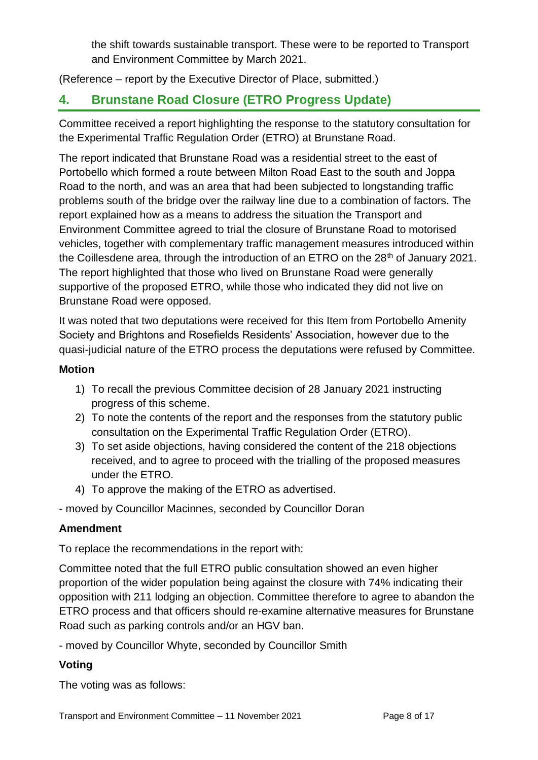the shift towards sustainable transport. These were to be reported to Transport and Environment Committee by March 2021.

(Reference – report by the Executive Director of Place, submitted.)

# **4. Brunstane Road Closure (ETRO Progress Update)**

Committee received a report highlighting the response to the statutory consultation for the Experimental Traffic Regulation Order (ETRO) at Brunstane Road.

The report indicated that Brunstane Road was a residential street to the east of Portobello which formed a route between Milton Road East to the south and Joppa Road to the north, and was an area that had been subjected to longstanding traffic problems south of the bridge over the railway line due to a combination of factors. The report explained how as a means to address the situation the Transport and Environment Committee agreed to trial the closure of Brunstane Road to motorised vehicles, together with complementary traffic management measures introduced within the Coillesdene area, through the introduction of an ETRO on the  $28<sup>th</sup>$  of January 2021. The report highlighted that those who lived on Brunstane Road were generally supportive of the proposed ETRO, while those who indicated they did not live on Brunstane Road were opposed.

It was noted that two deputations were received for this Item from Portobello Amenity Society and Brightons and Rosefields Residents' Association, however due to the quasi-judicial nature of the ETRO process the deputations were refused by Committee.

#### **Motion**

- 1) To recall the previous Committee decision of 28 January 2021 instructing progress of this scheme.
- 2) To note the contents of the report and the responses from the statutory public consultation on the Experimental Traffic Regulation Order (ETRO).
- 3) To set aside objections, having considered the content of the 218 objections received, and to agree to proceed with the trialling of the proposed measures under the ETRO.
- 4) To approve the making of the ETRO as advertised.

- moved by Councillor Macinnes, seconded by Councillor Doran

#### **Amendment**

To replace the recommendations in the report with:

Committee noted that the full ETRO public consultation showed an even higher proportion of the wider population being against the closure with 74% indicating their opposition with 211 lodging an objection. Committee therefore to agree to abandon the ETRO process and that officers should re-examine alternative measures for Brunstane Road such as parking controls and/or an HGV ban.

- moved by Councillor Whyte, seconded by Councillor Smith

#### **Voting**

The voting was as follows: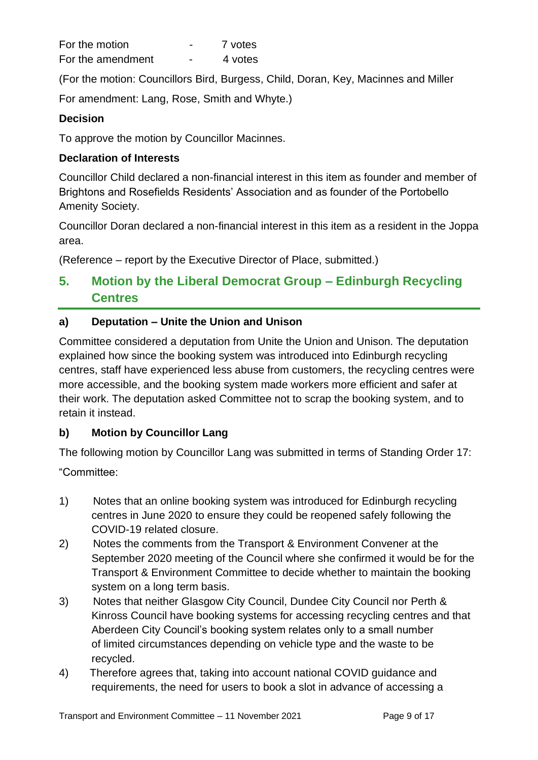| For the motion    |                          | 7 votes |
|-------------------|--------------------------|---------|
| For the amendment | $\overline{\phantom{0}}$ | 4 votes |

(For the motion: Councillors Bird, Burgess, Child, Doran, Key, Macinnes and Miller

For amendment: Lang, Rose, Smith and Whyte.)

### **Decision**

To approve the motion by Councillor Macinnes.

### **Declaration of Interests**

Councillor Child declared a non-financial interest in this item as founder and member of Brightons and Rosefields Residents' Association and as founder of the Portobello Amenity Society.

Councillor Doran declared a non-financial interest in this item as a resident in the Joppa area.

(Reference – report by the Executive Director of Place, submitted.)

# **5. Motion by the Liberal Democrat Group – Edinburgh Recycling Centres**

## **a) Deputation – Unite the Union and Unison**

Committee considered a deputation from Unite the Union and Unison. The deputation explained how since the booking system was introduced into Edinburgh recycling centres, staff have experienced less abuse from customers, the recycling centres were more accessible, and the booking system made workers more efficient and safer at their work. The deputation asked Committee not to scrap the booking system, and to retain it instead.

## **b) Motion by Councillor Lang**

The following motion by Councillor Lang was submitted in terms of Standing Order 17:

"Committee:

- 1) Notes that an online booking system was introduced for Edinburgh recycling centres in June 2020 to ensure they could be reopened safely following the COVID-19 related closure.
- 2) Notes the comments from the Transport & Environment Convener at the September 2020 meeting of the Council where she confirmed it would be for the Transport & Environment Committee to decide whether to maintain the booking system on a long term basis.
- 3) Notes that neither Glasgow City Council, Dundee City Council nor Perth & Kinross Council have booking systems for accessing recycling centres and that Aberdeen City Council's booking system relates only to a small number of limited circumstances depending on vehicle type and the waste to be recycled.
- 4) Therefore agrees that, taking into account national COVID guidance and requirements, the need for users to book a slot in advance of accessing a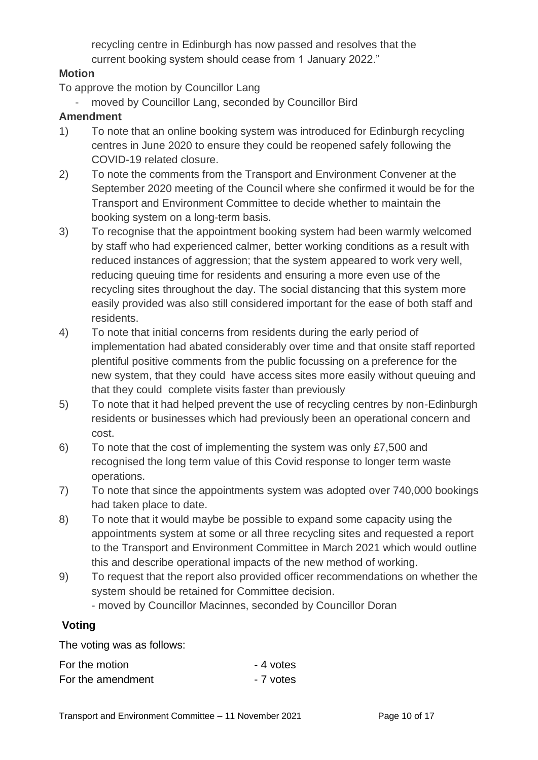recycling centre in Edinburgh has now passed and resolves that the current booking system should cease from 1 January 2022."

#### **Motion**

To approve the motion by Councillor Lang

moved by Councillor Lang, seconded by Councillor Bird

#### **Amendment**

- 1) To note that an online booking system was introduced for Edinburgh recycling centres in June 2020 to ensure they could be reopened safely following the COVID-19 related closure.
- 2) To note the comments from the Transport and Environment Convener at the September 2020 meeting of the Council where she confirmed it would be for the Transport and Environment Committee to decide whether to maintain the booking system on a long-term basis.
- 3) To recognise that the appointment booking system had been warmly welcomed by staff who had experienced calmer, better working conditions as a result with reduced instances of aggression; that the system appeared to work very well, reducing queuing time for residents and ensuring a more even use of the recycling sites throughout the day. The social distancing that this system more easily provided was also still considered important for the ease of both staff and residents.
- 4) To note that initial concerns from residents during the early period of implementation had abated considerably over time and that onsite staff reported plentiful positive comments from the public focussing on a preference for the new system, that they could have access sites more easily without queuing and that they could complete visits faster than previously
- 5) To note that it had helped prevent the use of recycling centres by non-Edinburgh residents or businesses which had previously been an operational concern and cost.
- 6) To note that the cost of implementing the system was only £7,500 and recognised the long term value of this Covid response to longer term waste operations.
- 7) To note that since the appointments system was adopted over 740,000 bookings had taken place to date.
- 8) To note that it would maybe be possible to expand some capacity using the appointments system at some or all three recycling sites and requested a report to the Transport and Environment Committee in March 2021 which would outline this and describe operational impacts of the new method of working.
- 9) To request that the report also provided officer recommendations on whether the system should be retained for Committee decision.

- moved by Councillor Macinnes, seconded by Councillor Doran

#### **Voting**

The voting was as follows:

| For the motion    | - 4 votes |
|-------------------|-----------|
| For the amendment | - 7 votes |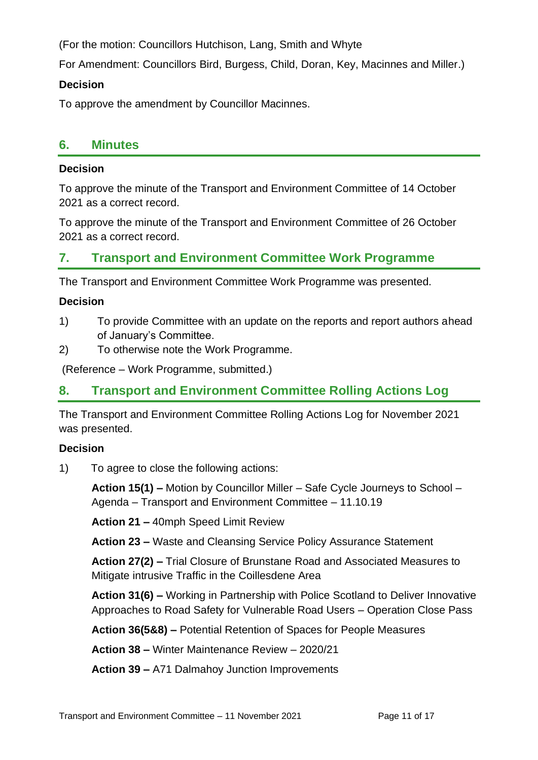(For the motion: Councillors Hutchison, Lang, Smith and Whyte

For Amendment: Councillors Bird, Burgess, Child, Doran, Key, Macinnes and Miller.)

#### **Decision**

To approve the amendment by Councillor Macinnes.

# **6. Minutes**

#### **Decision**

To approve the minute of the Transport and Environment Committee of 14 October 2021 as a correct record.

To approve the minute of the Transport and Environment Committee of 26 October 2021 as a correct record.

# **7. Transport and Environment Committee Work Programme**

The Transport and Environment Committee Work Programme was presented.

#### **Decision**

- 1) To provide Committee with an update on the reports and report authors ahead of January's Committee.
- 2) To otherwise note the Work Programme.

(Reference – Work Programme, submitted.)

# **8. Transport and Environment Committee Rolling Actions Log**

The Transport and Environment Committee Rolling Actions Log for November 2021 was presented.

#### **Decision**

1) To agree to close the following actions:

**Action 15(1) –** Motion by Councillor Miller – Safe Cycle Journeys to School – Agenda – Transport and Environment Committee – 11.10.19

**Action 21 –** 40mph Speed Limit Review

**Action 23 –** Waste and Cleansing Service Policy Assurance Statement

**Action 27(2) –** Trial Closure of Brunstane Road and Associated Measures to Mitigate intrusive Traffic in the Coillesdene Area

**Action 31(6) –** Working in Partnership with Police Scotland to Deliver Innovative Approaches to Road Safety for Vulnerable Road Users – Operation Close Pass

**Action 36(5&8) –** Potential Retention of Spaces for People Measures

**Action 38 –** Winter Maintenance Review – 2020/21

**Action 39 –** A71 Dalmahoy Junction Improvements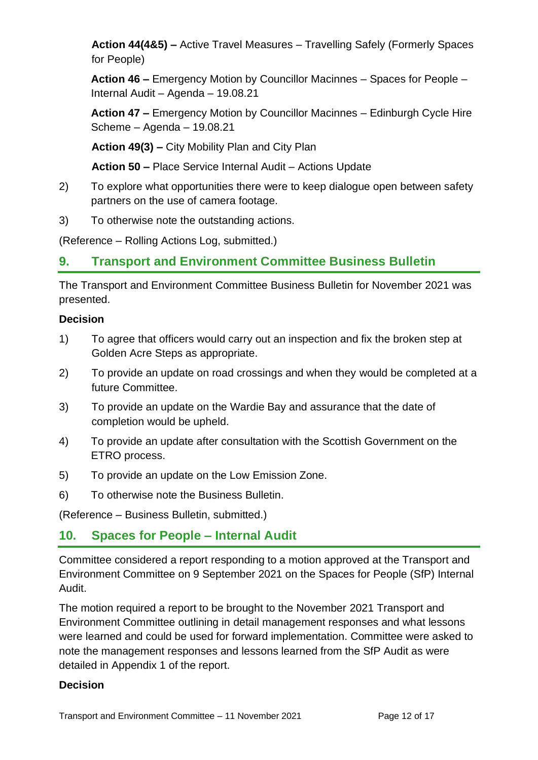**Action 44(4&5) –** Active Travel Measures – Travelling Safely (Formerly Spaces for People)

**Action 46 –** Emergency Motion by Councillor Macinnes – Spaces for People – Internal Audit – Agenda – 19.08.21

**Action 47 –** Emergency Motion by Councillor Macinnes – Edinburgh Cycle Hire Scheme – Agenda – 19.08.21

**Action 49(3) –** City Mobility Plan and City Plan

**Action 50 –** Place Service Internal Audit – Actions Update

- 2) To explore what opportunities there were to keep dialogue open between safety partners on the use of camera footage.
- 3) To otherwise note the outstanding actions.

(Reference – Rolling Actions Log, submitted.)

# **9. Transport and Environment Committee Business Bulletin**

The Transport and Environment Committee Business Bulletin for November 2021 was presented.

#### **Decision**

- 1) To agree that officers would carry out an inspection and fix the broken step at Golden Acre Steps as appropriate.
- 2) To provide an update on road crossings and when they would be completed at a future Committee.
- 3) To provide an update on the Wardie Bay and assurance that the date of completion would be upheld.
- 4) To provide an update after consultation with the Scottish Government on the ETRO process.
- 5) To provide an update on the Low Emission Zone.
- 6) To otherwise note the Business Bulletin.

(Reference – Business Bulletin, submitted.)

# **10. Spaces for People – Internal Audit**

Committee considered a report responding to a motion approved at the Transport and Environment Committee on 9 September 2021 on the Spaces for People (SfP) Internal Audit.

The motion required a report to be brought to the November 2021 Transport and Environment Committee outlining in detail management responses and what lessons were learned and could be used for forward implementation. Committee were asked to note the management responses and lessons learned from the SfP Audit as were detailed in Appendix 1 of the report.

#### **Decision**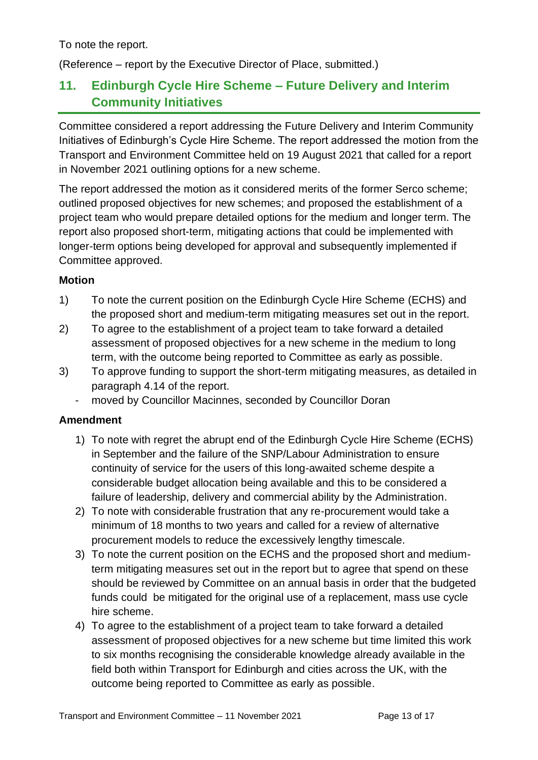To note the report.

(Reference – report by the Executive Director of Place, submitted.)

# **11. Edinburgh Cycle Hire Scheme – Future Delivery and Interim Community Initiatives**

Committee considered a report addressing the Future Delivery and Interim Community Initiatives of Edinburgh's Cycle Hire Scheme. The report addressed the motion from the Transport and Environment Committee held on 19 August 2021 that called for a report in November 2021 outlining options for a new scheme.

The report addressed the motion as it considered merits of the former Serco scheme; outlined proposed objectives for new schemes; and proposed the establishment of a project team who would prepare detailed options for the medium and longer term. The report also proposed short-term, mitigating actions that could be implemented with longer-term options being developed for approval and subsequently implemented if Committee approved.

#### **Motion**

- 1) To note the current position on the Edinburgh Cycle Hire Scheme (ECHS) and the proposed short and medium-term mitigating measures set out in the report.
- 2) To agree to the establishment of a project team to take forward a detailed assessment of proposed objectives for a new scheme in the medium to long term, with the outcome being reported to Committee as early as possible.
- 3) To approve funding to support the short-term mitigating measures, as detailed in paragraph 4.14 of the report.
	- moved by Councillor Macinnes, seconded by Councillor Doran

#### **Amendment**

- 1) To note with regret the abrupt end of the Edinburgh Cycle Hire Scheme (ECHS) in September and the failure of the SNP/Labour Administration to ensure continuity of service for the users of this long-awaited scheme despite a considerable budget allocation being available and this to be considered a failure of leadership, delivery and commercial ability by the Administration.
- 2) To note with considerable frustration that any re-procurement would take a minimum of 18 months to two years and called for a review of alternative procurement models to reduce the excessively lengthy timescale.
- 3) To note the current position on the ECHS and the proposed short and mediumterm mitigating measures set out in the report but to agree that spend on these should be reviewed by Committee on an annual basis in order that the budgeted funds could be mitigated for the original use of a replacement, mass use cycle hire scheme.
- 4) To agree to the establishment of a project team to take forward a detailed assessment of proposed objectives for a new scheme but time limited this work to six months recognising the considerable knowledge already available in the field both within Transport for Edinburgh and cities across the UK, with the outcome being reported to Committee as early as possible.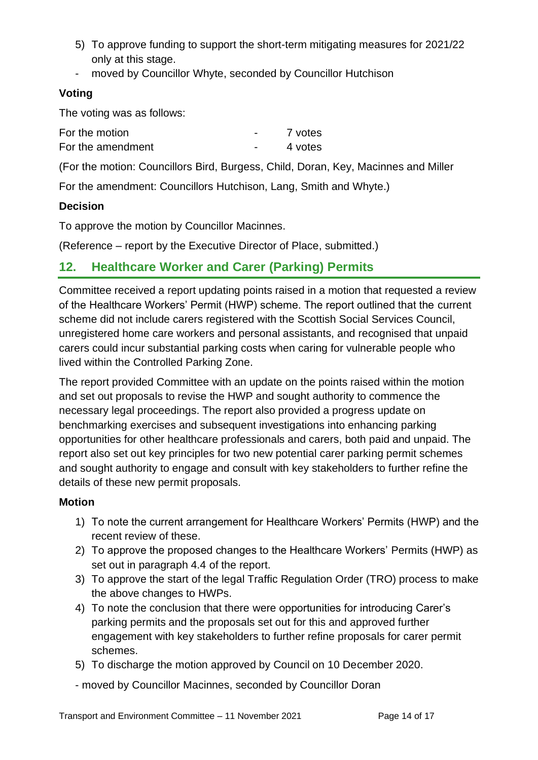- 5) To approve funding to support the short-term mitigating measures for 2021/22 only at this stage.
- moved by Councillor Whyte, seconded by Councillor Hutchison

# **Voting**

The voting was as follows:

| For the motion    | 7 votes |
|-------------------|---------|
| For the amendment | 4 votes |

(For the motion: Councillors Bird, Burgess, Child, Doran, Key, Macinnes and Miller

For the amendment: Councillors Hutchison, Lang, Smith and Whyte.)

#### **Decision**

To approve the motion by Councillor Macinnes.

(Reference – report by the Executive Director of Place, submitted.)

# **12. Healthcare Worker and Carer (Parking) Permits**

Committee received a report updating points raised in a motion that requested a review of the Healthcare Workers' Permit (HWP) scheme. The report outlined that the current scheme did not include carers registered with the Scottish Social Services Council, unregistered home care workers and personal assistants, and recognised that unpaid carers could incur substantial parking costs when caring for vulnerable people who lived within the Controlled Parking Zone.

The report provided Committee with an update on the points raised within the motion and set out proposals to revise the HWP and sought authority to commence the necessary legal proceedings. The report also provided a progress update on benchmarking exercises and subsequent investigations into enhancing parking opportunities for other healthcare professionals and carers, both paid and unpaid. The report also set out key principles for two new potential carer parking permit schemes and sought authority to engage and consult with key stakeholders to further refine the details of these new permit proposals.

## **Motion**

- 1) To note the current arrangement for Healthcare Workers' Permits (HWP) and the recent review of these.
- 2) To approve the proposed changes to the Healthcare Workers' Permits (HWP) as set out in paragraph 4.4 of the report.
- 3) To approve the start of the legal Traffic Regulation Order (TRO) process to make the above changes to HWPs.
- 4) To note the conclusion that there were opportunities for introducing Carer's parking permits and the proposals set out for this and approved further engagement with key stakeholders to further refine proposals for carer permit schemes.
- 5) To discharge the motion approved by Council on 10 December 2020.
- moved by Councillor Macinnes, seconded by Councillor Doran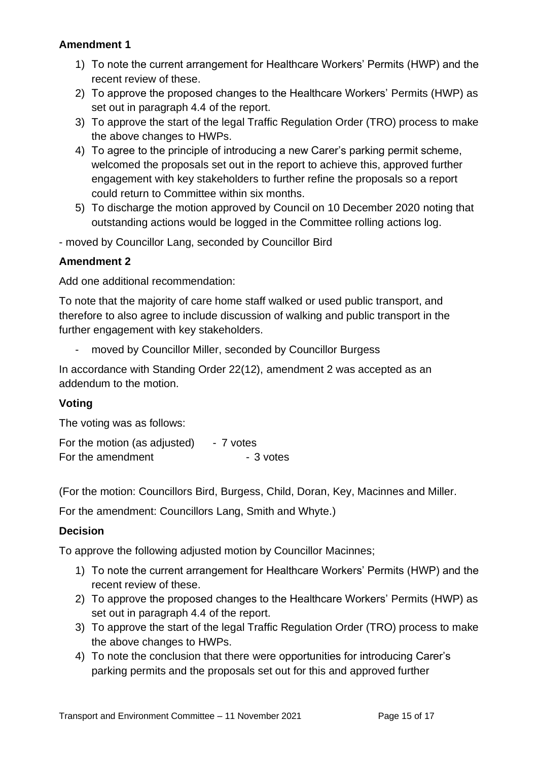#### **Amendment 1**

- 1) To note the current arrangement for Healthcare Workers' Permits (HWP) and the recent review of these.
- 2) To approve the proposed changes to the Healthcare Workers' Permits (HWP) as set out in paragraph 4.4 of the report.
- 3) To approve the start of the legal Traffic Regulation Order (TRO) process to make the above changes to HWPs.
- 4) To agree to the principle of introducing a new Carer's parking permit scheme, welcomed the proposals set out in the report to achieve this, approved further engagement with key stakeholders to further refine the proposals so a report could return to Committee within six months.
- 5) To discharge the motion approved by Council on 10 December 2020 noting that outstanding actions would be logged in the Committee rolling actions log.
- moved by Councillor Lang, seconded by Councillor Bird

#### **Amendment 2**

Add one additional recommendation:

To note that the majority of care home staff walked or used public transport, and therefore to also agree to include discussion of walking and public transport in the further engagement with key stakeholders.

moved by Councillor Miller, seconded by Councillor Burgess

In accordance with Standing Order 22(12), amendment 2 was accepted as an addendum to the motion.

#### **Voting**

The voting was as follows:

For the motion (as adjusted)  $-7$  votes For the amendment Theorem - 3 votes

(For the motion: Councillors Bird, Burgess, Child, Doran, Key, Macinnes and Miller.

For the amendment: Councillors Lang, Smith and Whyte.)

#### **Decision**

To approve the following adjusted motion by Councillor Macinnes;

- 1) To note the current arrangement for Healthcare Workers' Permits (HWP) and the recent review of these.
- 2) To approve the proposed changes to the Healthcare Workers' Permits (HWP) as set out in paragraph 4.4 of the report.
- 3) To approve the start of the legal Traffic Regulation Order (TRO) process to make the above changes to HWPs.
- 4) To note the conclusion that there were opportunities for introducing Carer's parking permits and the proposals set out for this and approved further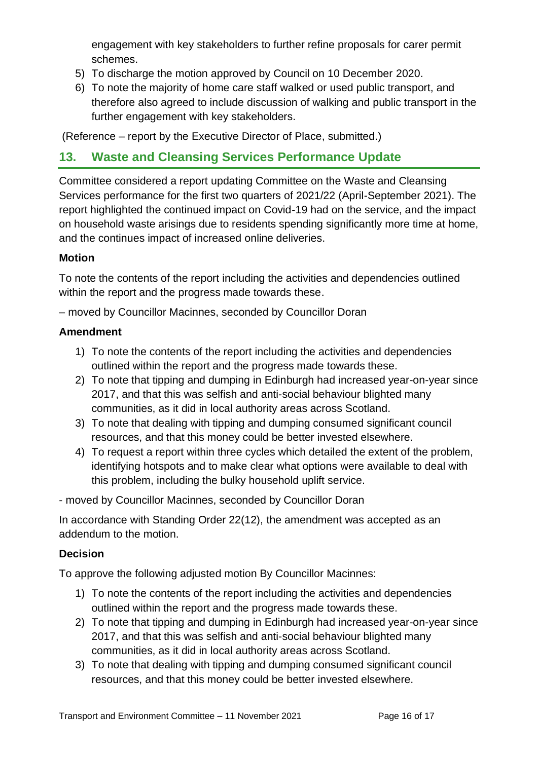engagement with key stakeholders to further refine proposals for carer permit schemes.

- 5) To discharge the motion approved by Council on 10 December 2020.
- 6) To note the majority of home care staff walked or used public transport, and therefore also agreed to include discussion of walking and public transport in the further engagement with key stakeholders.

(Reference – report by the Executive Director of Place, submitted.)

# **13. Waste and Cleansing Services Performance Update**

Committee considered a report updating Committee on the Waste and Cleansing Services performance for the first two quarters of 2021/22 (April-September 2021). The report highlighted the continued impact on Covid-19 had on the service, and the impact on household waste arisings due to residents spending significantly more time at home, and the continues impact of increased online deliveries.

## **Motion**

To note the contents of the report including the activities and dependencies outlined within the report and the progress made towards these.

– moved by Councillor Macinnes, seconded by Councillor Doran

#### **Amendment**

- 1) To note the contents of the report including the activities and dependencies outlined within the report and the progress made towards these.
- 2) To note that tipping and dumping in Edinburgh had increased year-on-year since 2017, and that this was selfish and anti-social behaviour blighted many communities, as it did in local authority areas across Scotland.
- 3) To note that dealing with tipping and dumping consumed significant council resources, and that this money could be better invested elsewhere.
- 4) To request a report within three cycles which detailed the extent of the problem, identifying hotspots and to make clear what options were available to deal with this problem, including the bulky household uplift service.

- moved by Councillor Macinnes, seconded by Councillor Doran

In accordance with Standing Order 22(12), the amendment was accepted as an addendum to the motion.

## **Decision**

To approve the following adjusted motion By Councillor Macinnes:

- 1) To note the contents of the report including the activities and dependencies outlined within the report and the progress made towards these.
- 2) To note that tipping and dumping in Edinburgh had increased year-on-year since 2017, and that this was selfish and anti-social behaviour blighted many communities, as it did in local authority areas across Scotland.
- 3) To note that dealing with tipping and dumping consumed significant council resources, and that this money could be better invested elsewhere.